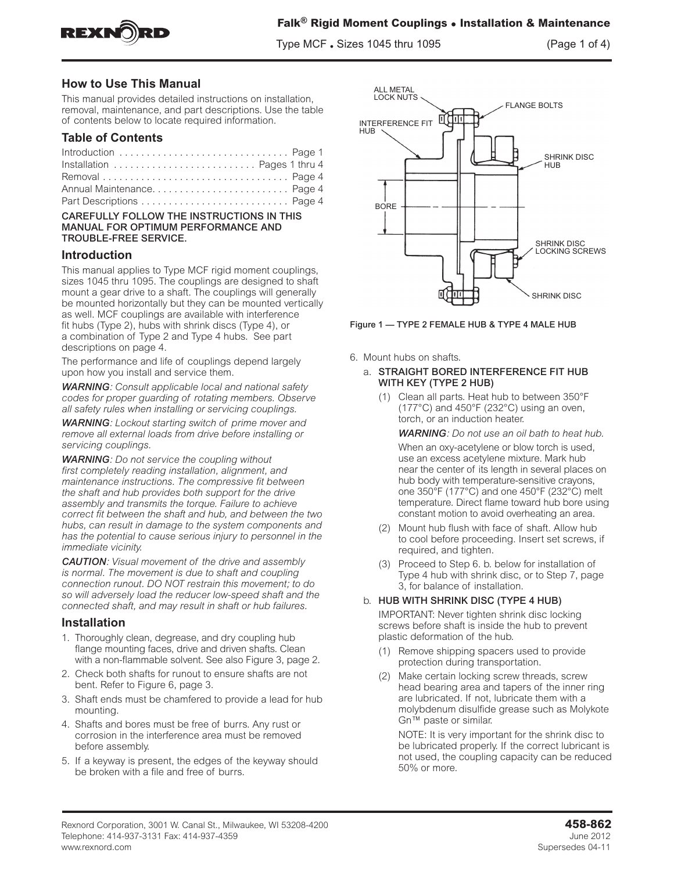

Type MCF • Sizes 1045 thru 1095 (Page 1 of 4)

# **How to Use This Manual**

This manual provides detailed instructions on installation, removal, maintenance, and part descriptions. Use the table of contents below to locate required information.

# **Table of Contents**

| Introduction  Page 1         |  |
|------------------------------|--|
| Installation  Pages 1 thru 4 |  |
|                              |  |
|                              |  |
|                              |  |

### CAREFULLY FOLLOW THE INSTRUCTIONS IN THIS MANUAL FOR OPTIMUM PERFORMANCE AND TROUBLE-FREE SERVICE.

### **Introduction**

This manual applies to Type MCF rigid moment couplings, sizes 1045 thru 1095. The couplings are designed to shaft mount a gear drive to a shaft. The couplings will generally be mounted horizontally but they can be mounted vertically as well. MCF couplings are available with interference fit hubs (Type 2), hubs with shrink discs (Type 4), or a combination of Type 2 and Type 4 hubs. See part descriptions on page 4.

The performance and life of couplings depend largely upon how you install and service them.

*WARNING: Consult applicable local and national safety codes for proper guarding of rotating members. Observe all safety rules when installing or servicing couplings.*

*WARNING: Lockout starting switch of prime mover and remove all external loads from drive before installing or servicing couplings.* 

*WARNING: Do not service the coupling without first completely reading installation, alignment, and maintenance instructions. The compressive fit between the shaft and hub provides both support for the drive assembly and transmits the torque. Failure to achieve correct fit between the shaft and hub, and between the two hubs, can result in damage to the system components and has the potential to cause serious injury to personnel in the immediate vicinity.*

*CAUTION: Visual movement of the drive and assembly is normal. The movement is due to shaft and coupling connection runout. DO NOT restrain this movement; to do so will adversely load the reducer low-speed shaft and the connected shaft, and may result in shaft or hub failures.*

# **Installation**

- 1. Thoroughly clean, degrease, and dry coupling hub flange mounting faces, drive and driven shafts. Clean with a non-flammable solvent. See also Figure 3, page 2.
- 2. Check both shafts for runout to ensure shafts are not bent. Refer to Figure 6, page 3.
- 3. Shaft ends must be chamfered to provide a lead for hub mounting.
- 4. Shafts and bores must be free of burrs. Any rust or corrosion in the interference area must be removed before assembly.
- 5. If a keyway is present, the edges of the keyway should be broken with a file and free of burrs.



Figure 1 — TYPE 2 FEMALE HUB & TYPE 4 MALE HUB

6. Mount hubs on shafts.

### a. STRAIGHT BORED INTERFERENCE FIT HUB WITH KEY (TYPE 2 HUB)

(1) Clean all parts. Heat hub to between 350°F  $(177^{\circ}C)$  and 450°F (232°C) using an oven, torch, or an induction heater.

*WARNING: Do not use an oil bath to heat hub.*

When an oxy-acetylene or blow torch is used, use an excess acetylene mixture. Mark hub near the center of its length in several places on hub body with temperature-sensitive crayons, one 350°F (177°C) and one 450°F (232°C) melt temperature. Direct flame toward hub bore using constant motion to avoid overheating an area.

- (2) Mount hub flush with face of shaft. Allow hub to cool before proceeding. Insert set screws, if required, and tighten.
- (3) Proceed to Step 6. b. below for installation of Type 4 hub with shrink disc, or to Step 7, page 3, for balance of installation.

### b. HUB WITH SHRINK DISC (TYPE 4 HUB)

IMPORTANT: Never tighten shrink disc locking screws before shaft is inside the hub to prevent plastic deformation of the hub.

- (1) Remove shipping spacers used to provide protection during transportation.
- (2) Make certain locking screw threads, screw head bearing area and tapers of the inner ring are lubricated. If not, lubricate them with a molybdenum disulfide grease such as Molykote Gn™ paste or similar.

NOTE: It is very important for the shrink disc to be lubricated properly. If the correct lubricant is not used, the coupling capacity can be reduced 50% or more.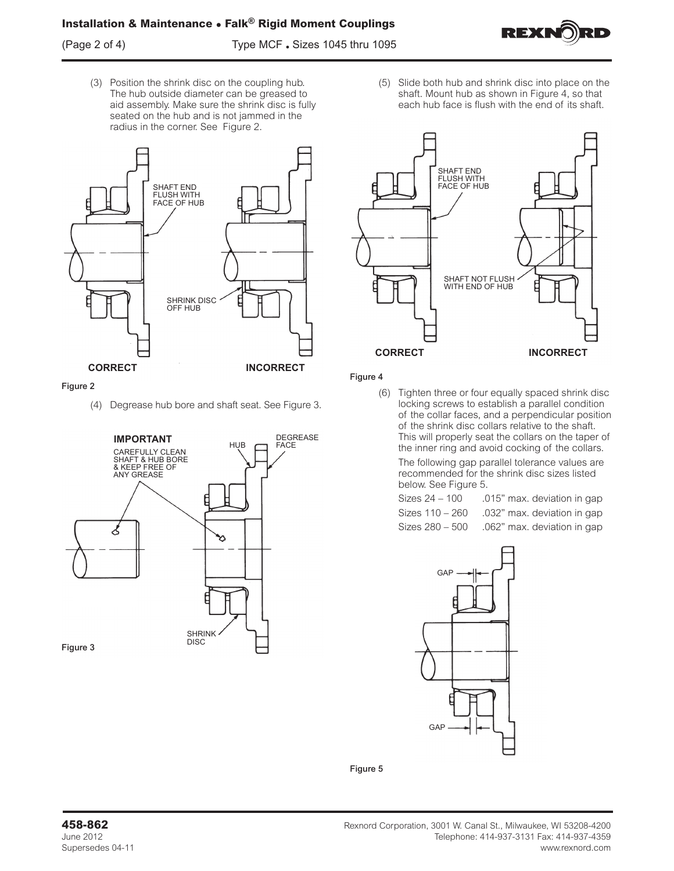(Page 2 of 4) Type MCF • Sizes 1045 thru 1095



(3) Position the shrink disc on the coupling hub. The hub outside diameter can be greased to aid assembly. Make sure the shrink disc is fully seated on the hub and is not jammed in the radius in the corner. See Figure 2.



#### Figure 2

(4) Degrease hub bore and shaft seat. See Figure 3.



(5) Slide both hub and shrink disc into place on the shaft. Mount hub as shown in Figure 4, so that each hub face is flush with the end of its shaft.



#### Figure 4

(6) Tighten three or four equally spaced shrink disc locking screws to establish a parallel condition of the collar faces, and a perpendicular position of the shrink disc collars relative to the shaft. This will properly seat the collars on the taper of the inner ring and avoid cocking of the collars.

The following gap parallel tolerance values are recommended for the shrink disc sizes listed below. See Figure 5.

Sizes 24 – 100 .015" max. deviation in gap Sizes 110 – 260 .032" max. deviation in gap Sizes 280 – 500 .062" max. deviation in gap



Figure 5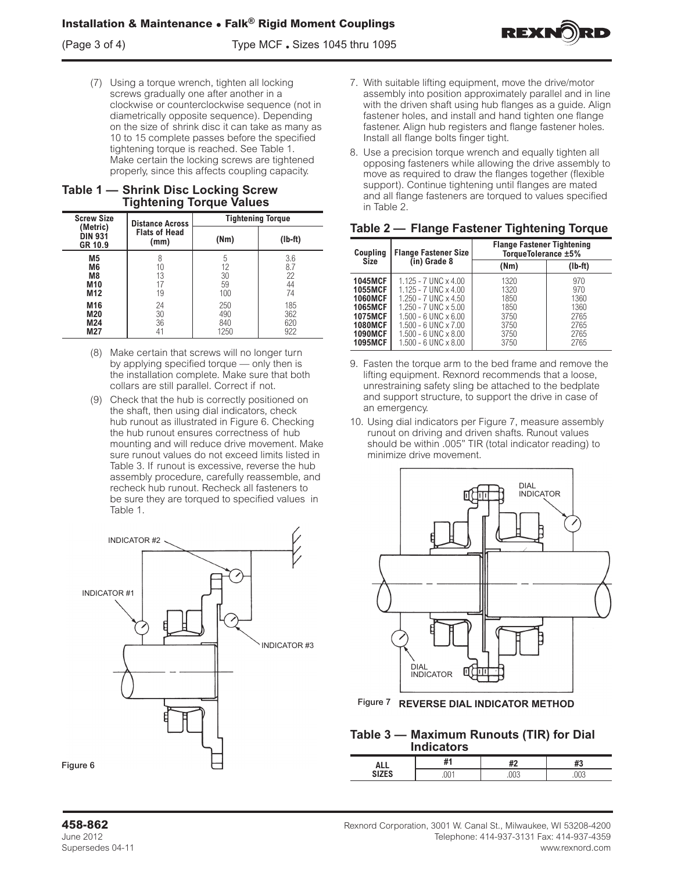

### **Table 1 — Shrink Disc Locking Screw Tightening Torque Values**

| <b>Screw Size</b>                     | <b>Tightening Torque</b><br><b>Distance Across</b> |      |           |
|---------------------------------------|----------------------------------------------------|------|-----------|
| (Metric)<br><b>DIN 931</b><br>GR 10.9 | <b>Flats of Head</b><br>(mm)                       | (Nm) | $(lb-ft)$ |
| M <sub>5</sub>                        | 8                                                  | 5    | 3.6       |
| M6                                    | 10                                                 | 12   | 8.7       |
| M8                                    | 13                                                 | 30   | 22        |
| M <sub>10</sub>                       | 17                                                 | 59   | 44        |
| M <sub>12</sub>                       | 19                                                 | 100  | 74        |
| M16                                   | 24                                                 | 250  | 185       |
| M20                                   | 30                                                 | 490  | 362       |
| M24                                   | 36                                                 | 840  | 620       |
| M27                                   | 41                                                 | 1250 | 922       |

- (8) Make certain that screws will no longer turn by applying specified torque — only then is the installation complete. Make sure that both collars are still parallel. Correct if not.
- (9) Check that the hub is correctly positioned on the shaft, then using dial indicators, check hub runout as illustrated in Figure 6. Checking the hub runout ensures correctness of hub mounting and will reduce drive movement. Make sure runout values do not exceed limits listed in Table 3. If runout is excessive, reverse the hub assembly procedure, carefully reassemble, and recheck hub runout. Recheck all fasteners to be sure they are torqued to specified values in Table 1.



- 7. With suitable lifting equipment, move the drive/motor assembly into position approximately parallel and in line with the driven shaft using hub flanges as a guide. Align fastener holes, and install and hand tighten one flange fastener. Align hub registers and flange fastener holes. Install all flange bolts finger tight.
- 8. Use a precision torque wrench and equally tighten all opposing fasteners while allowing the drive assembly to move as required to draw the flanges together (flexible support). Continue tightening until flanges are mated and all flange fasteners are torqued to values specified in Table 2.

|  |  |  | Table 2 - Flange Fastener Tightening Torque |  |
|--|--|--|---------------------------------------------|--|
|--|--|--|---------------------------------------------|--|

| Coupling<br>Size                                                                                                                             | <b>Flange Fastener Size</b>                                                                                                                                                                                                                                          | <b>Flange Fastener Tightening</b><br>TorqueTolerance ±5%     |                                                            |
|----------------------------------------------------------------------------------------------------------------------------------------------|----------------------------------------------------------------------------------------------------------------------------------------------------------------------------------------------------------------------------------------------------------------------|--------------------------------------------------------------|------------------------------------------------------------|
|                                                                                                                                              | (in) Grade 8                                                                                                                                                                                                                                                         | (Nm)                                                         | $(Ib-ft)$                                                  |
| <b>1045MCF</b><br><b>1055MCF</b><br><b>1060MCF</b><br><b>1065MCF</b><br><b>1075MCF</b><br><b>1080MCF</b><br><b>1090MCF</b><br><b>1095MCF</b> | $1.125 - 7$ UNC $\times$ 4.00<br>$1.125 - 7$ UNC $\times$ 4.00<br>$1.250 - 7$ UNC $\times$ 4.50<br>$1.250 - 7$ UNC $\times$ 5.00<br>$1.500 - 6$ UNC $\times$ 6.00<br>$1.500 - 6$ UNC $\times$ 7.00<br>$1.500 - 6$ UNC $\times$ 8.00<br>$1.500 - 6$ UNC $\times$ 8.00 | 1320<br>1320<br>1850<br>1850<br>3750<br>3750<br>3750<br>3750 | 970<br>970<br>1360<br>1360<br>2765<br>2765<br>2765<br>2765 |

- 9. Fasten the torque arm to the bed frame and remove the lifting equipment. Rexnord recommends that a loose, unrestraining safety sling be attached to the bedplate and support structure, to support the drive in case of an emergency.
- 10. Using dial indicators per Figure 7, measure assembly runout on driving and driven shafts. Runout values should be within .005" TIR (total indicator reading) to minimize drive movement.



Figure 7 **REVERSE DIAL INDICATOR METHOD**

# **Table 3 — Maximum Runouts (TIR) for Dial Indicators**

| . .<br>٠<br>$\mathbb{R}$ |  | $\cdots$ |
|--------------------------|--|----------|
|                          |  |          |